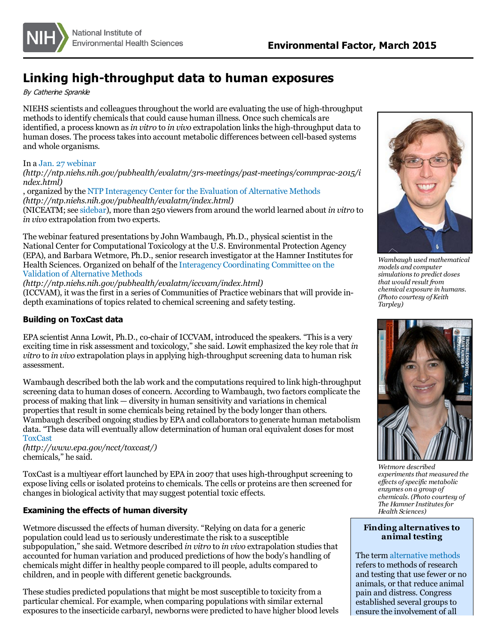

# **Linking high-throughput data to human exposures**

By Catherine Sprankle

NIEHS scientists and colleaguesthroughout the world are evaluating the use of high-throughput methods to identify chemicals that could cause human illness. Once such chemicals are identified, a process known as*in vitro* to *in vivo* extrapolation linksthe high-throughput data to human doses. The processtakesinto account metabolic differences between cell-based systems and whole organisms.

### In a Jan. 27 [webinar](http://ntp.niehs.nih.gov/pubhealth/evalatm/3rs-meetings/past-meetings/commprac-2015/index.html)

*(http://ntp.niehs.nih.gov/pubhealth/evalatm/3rs-meetings/past-meetings/commprac-2015/i ndex.html)*

, organized by the NTP [Interagency](http://ntp.niehs.nih.gov/pubhealth/evalatm/index.html) Center for the Evaluation of Alternative Methods *(http://ntp.niehs.nih.gov/pubhealth/evalatm/index.html)* (NICEATM;see [sidebar](#page-1-0)), more than 250 viewersfrom around the world learned about *in vitro* to *in vivo* extrapolation from two experts.

The webinar featured presentations by John Wambaugh, Ph.D., physical scientist in the National Center for Computational Toxicology at the U.S. Environmental Protection Agency (EPA), and Barbara Wetmore, Ph.D., senior research investigator at the Hamner Institutesfor Health Sciences. Organized on behalf of the Interagency [Coordinating](http://ntp.niehs.nih.gov/pubhealth/evalatm/iccvam/index.html) Committee on the Validation of Alternative Methods

*(http://ntp.niehs.nih.gov/pubhealth/evalatm/iccvam/index.html)*

(ICCVAM), it wasthe first in a series of Communities of Practice webinarsthat will provide indepth examinations of topics related to chemical screening and safety testing.

## **Building on ToxCast data**

EPA scientist Anna Lowit, Ph.D., co-chair of ICCVAM, introduced the speakers. "This is a very exciting time in risk assessment and toxicology," she said. Lowit emphasized the key role that *in vitro* to *in vivo* extrapolation playsin applying high-throughput screening data to human risk assessment.

Wambaugh described both the lab work and the computationsrequired to link high-throughput screening data to human doses of concern. According to Wambaugh, two factors complicate the process of making that  $link$  — diversity in human sensitivity and variations in chemical properties that result in some chemicals being retained by the body longer than others. Wambaugh described ongoing studies by EPA and collaborators to generate human metabolism data. "These data will eventually allow determination of human oral equivalent dosesfor most **[ToxCast](http://www.epa.gov/ncct/toxcast/)** 

*(http://www.epa.gov/ncct/toxcast/)* chemicals," he said.

ToxCast is a multiyear effort launched by EPA in 2007 that uses high-throughput screening to expose living cells or isolated proteins to chemicals. The cells or proteins are then screened for changes in biological activity that may suggest potential toxic effects.

### **Examining the effects of human diversity**

Wetmore discussed the effects of human diversity. "Relying on data for a generic population could lead usto seriously underestimate the risk to a susceptible subpopulation," she said. Wetmore described *in vitro* to *in vivo* extrapolation studiesthat accounted for human variation and produced predictions of how the body's handling of chemicals might differ in healthy people compared to ill people, adults compared to children, and in people with different genetic backgrounds.

These studies predicted populations that might be most susceptible to toxicity from a particular chemical. For example, when comparing populations with similar external exposures to the insecticide carbaryl, newborns were predicted to have higher blood levels



*Wambaugh used mathematical models and computer simulationsto predict doses that would result from chemical exposure in humans. (Photo courtesy ofKeith Tarpley)*



*Wetmore described*  $experiments that measured the$ *ef ects ofspecific metabolic enzymes on a group of chemicals. (Photo courtesy of The Hamner Institutesfor Health Sciences)*

### **Finding alternatives to animal testing**

The term [alternative](http://www.niehs.nih.gov/health/topics/science/sya-iccvam/index.cfm) methods refers to methods of research and testing that use fewer or no animals, or that reduce animal pain and distress. Congress established several groups to ensure the involvement of all